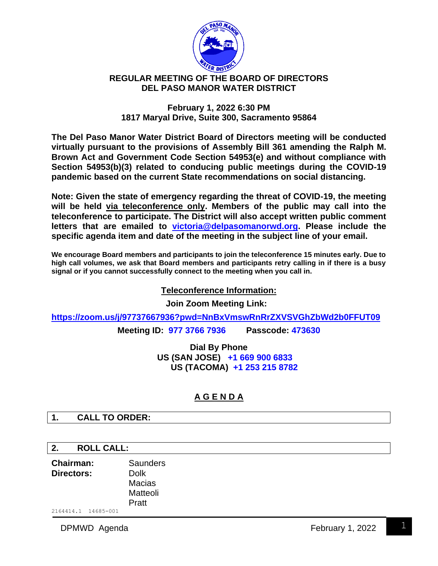

# **REGULAR MEETING OF THE BOARD OF DIRECTORS DEL PASO MANOR WATER DISTRICT**

#### **February 1, 2022 6:30 PM 1817 Maryal Drive, Suite 300, Sacramento 95864**

**The Del Paso Manor Water District Board of Directors meeting will be conducted virtually pursuant to the provisions of Assembly Bill 361 amending the Ralph M. Brown Act and Government Code Section 54953(e) and without compliance with Section 54953(b)(3) related to conducing public meetings during the COVID-19 pandemic based on the current State recommendations on social distancing.**

**Note: Given the state of emergency regarding the threat of COVID-19, the meeting will be held via teleconference only. Members of the public may call into the teleconference to participate. The District will also accept written public comment letters that are emailed to [victoria@delpasomanorwd.org.](mailto:victoria@delpasomanorwd.org) Please include the specific agenda item and date of the meeting in the subject line of your email.** 

**We encourage Board members and participants to join the teleconference 15 minutes early. Due to high call volumes, we ask that Board members and participants retry calling in if there is a busy signal or if you cannot successfully connect to the meeting when you call in.**

## **Teleconference Information:**

**Join Zoom Meeting Link:**

**<https://zoom.us/j/97737667936?pwd=NnBxVmswRnRrZXVSVGhZbWd2b0FFUT09> Meeting ID: 977 3766 7936 Passcode: 473630**

> **Dial By Phone US (SAN JOSE) +1 669 900 6833 US (TACOMA) +1 253 215 8782**

# **A G E N D A**

### **1. CALL TO ORDER:**

### **2. ROLL CALL:**

2164414.1 14685-001 **Chairman:** Saunders **Directors:** Dolk Macias Matteoli Pratt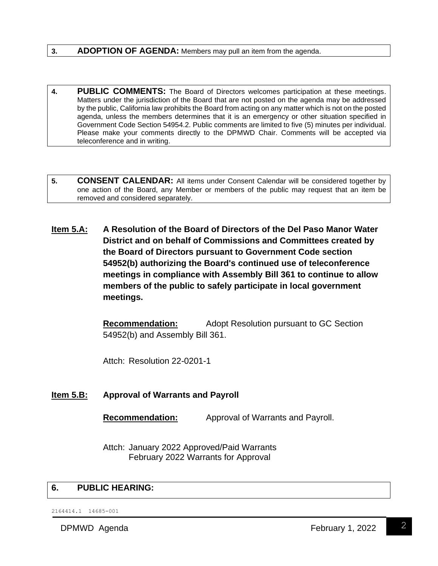#### **3. ADOPTION OF AGENDA:** Members may pull an item from the agenda.

- **4. PUBLIC COMMENTS:** The Board of Directors welcomes participation at these meetings. Matters under the jurisdiction of the Board that are not posted on the agenda may be addressed by the public, California law prohibits the Board from acting on any matter which is not on the posted agenda, unless the members determines that it is an emergency or other situation specified in Government Code Section 54954.2. Public comments are limited to five (5) minutes per individual. Please make your comments directly to the DPMWD Chair. Comments will be accepted via teleconference and in writing.
- **5. CONSENT CALENDAR:** All items under Consent Calendar will be considered together by one action of the Board, any Member or members of the public may request that an item be removed and considered separately.
- **Item 5.A: A Resolution of the Board of Directors of the Del Paso Manor Water District and on behalf of Commissions and Committees created by the Board of Directors pursuant to Government Code section 54952(b) authorizing the Board's continued use of teleconference meetings in compliance with Assembly Bill 361 to continue to allow members of the public to safely participate in local government meetings.**

**Recommendation:** Adopt Resolution pursuant to GC Section 54952(b) and Assembly Bill 361.

Attch: Resolution 22-0201-1

### **Item 5.B: Approval of Warrants and Payroll**

**Recommendation:** Approval of Warrants and Payroll.

Attch: January 2022 Approved/Paid Warrants February 2022 Warrants for Approval

#### **6. PUBLIC HEARING:**

2164414.1 14685-001

DPMWD Agenda **February 1, 2022**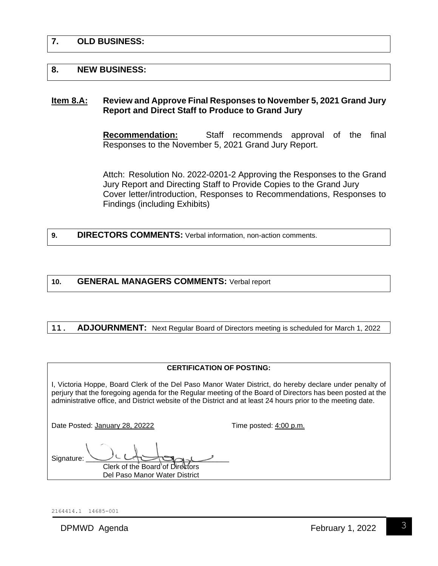### **7. OLD BUSINESS:**

#### **8. NEW BUSINESS:**

#### **Item 8.A: Review and Approve Final Responses to November 5, 2021 Grand Jury Report and Direct Staff to Produce to Grand Jury**

**Recommendation:** Staff recommends approval of the final Responses to the November 5, 2021 Grand Jury Report.

Attch: Resolution No. 2022-0201-2 Approving the Responses to the Grand Jury Report and Directing Staff to Provide Copies to the Grand Jury Cover letter/introduction, Responses to Recommendations, Responses to Findings (including Exhibits)

**9. DIRECTORS COMMENTS:** Verbal information, non-action comments.

#### **10. GENERAL MANAGERS COMMENTS:** Verbal report

#### **11. ADJOURNMENT:** Next Regular Board of Directors meeting is scheduled for March 1, 2022

I, Victoria Hoppe, Board Clerk of the Del Paso Manor Water District, do hereby declare under penalty of perjury that the foregoing agenda for the Regular meeting of the Board of Directors has been posted at the administrative office, and District website of the District and at least 24 hours prior to the meeting date.

Date Posted: January 28, 20222 Time posted: 4:00 p.m.

Signature: Clerk of the Board of Directors Del Paso Manor Water District

2164414.1 14685-001

DPMWD Agenda **February 1, 2022**